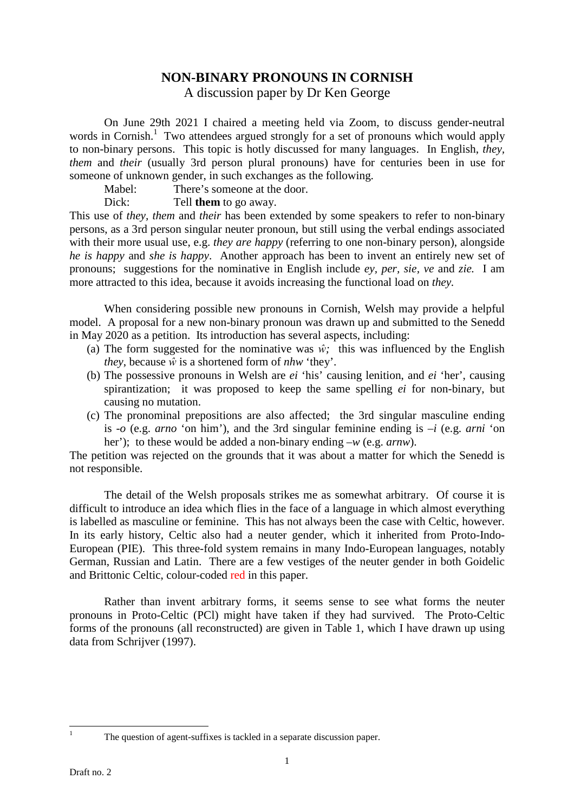## **NON-BINARY PRONOUNS IN CORNISH**

A discussion paper by Dr Ken George

 On June 29th 2021 I chaired a meeting held via Zoom, to discuss gender-neutral words in Cornish.<sup>1</sup> Two attendees argued strongly for a set of pronouns which would apply to non-binary persons. This topic is hotly discussed for many languages. In English, *they, them* and *their* (usually 3rd person plural pronouns) have for centuries been in use for someone of unknown gender, in such exchanges as the following.

Mabel: There's someone at the door.

Dick: Tell **them** to go away.

This use of *they, them* and *their* has been extended by some speakers to refer to non-binary persons, as a 3rd person singular neuter pronoun, but still using the verbal endings associated with their more usual use, e.g. *they are happy* (referring to one non-binary person), alongside *he is happy* and *she is happy*. Another approach has been to invent an entirely new set of pronouns; suggestions for the nominative in English include *ey, per, sie, ve* and *zie.* I am more attracted to this idea, because it avoids increasing the functional load on *they.*

 When considering possible new pronouns in Cornish, Welsh may provide a helpful model. A proposal for a new non-binary pronoun was drawn up and submitted to the Senedd in May 2020 as a petition. Its introduction has several aspects, including:

- (a) The form suggested for the nominative was  $\hat{w}$ ; this was influenced by the English *they*, because *ŵ* is a shortened form of *nhw* 'they'.
- (b) The possessive pronouns in Welsh are *ei* 'his' causing lenition, and *ei* 'her', causing spirantization; it was proposed to keep the same spelling *ei* for non-binary, but causing no mutation.
- (c) The pronominal prepositions are also affected; the 3rd singular masculine ending is -*o* (e.g. *arno* 'on him'), and the 3rd singular feminine ending is –*i* (e.g. *arni* 'on her'); to these would be added a non-binary ending –*w* (e.g. *arnw*).

The petition was rejected on the grounds that it was about a matter for which the Senedd is not responsible.

 The detail of the Welsh proposals strikes me as somewhat arbitrary. Of course it is difficult to introduce an idea which flies in the face of a language in which almost everything is labelled as masculine or feminine. This has not always been the case with Celtic, however. In its early history, Celtic also had a neuter gender, which it inherited from Proto-Indo-European (PIE). This three-fold system remains in many Indo-European languages, notably German, Russian and Latin. There are a few vestiges of the neuter gender in both Goidelic and Brittonic Celtic, colour-coded red in this paper.

 Rather than invent arbitrary forms, it seems sense to see what forms the neuter pronouns in Proto-Celtic (PCl) might have taken if they had survived. The Proto-Celtic forms of the pronouns (all reconstructed) are given in Table 1, which I have drawn up using data from Schrijver (1997).

l 1

The question of agent-suffixes is tackled in a separate discussion paper.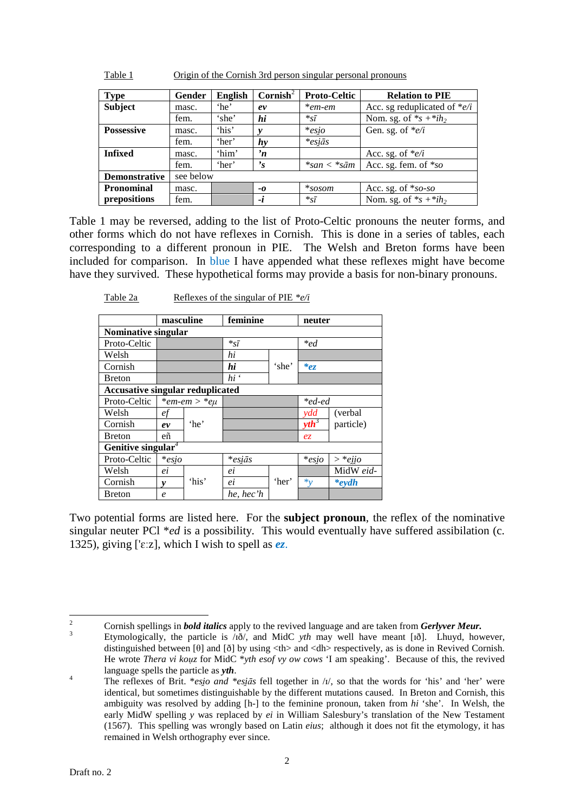| <b>Type</b>          | Gender    | <b>English</b> | Cornish <sup>2</sup> | <b>Proto-Celtic</b>         | <b>Relation to PIE</b>        |
|----------------------|-----------|----------------|----------------------|-----------------------------|-------------------------------|
| <b>Subject</b>       | masc.     | 'he'           | ev                   | $*$ em-em                   | Acc. sg reduplicated of $e/i$ |
|                      | fem.      | 'she'          | hi                   | $*_{\tilde{S}}\overline{l}$ | Nom. sg. of $*_s + *ih_2$     |
| <b>Possessive</b>    | masc.     | 'his'          | v                    | $*$ esio                    | Gen. sg. of $e/i$             |
|                      | fem.      | 'her'          | hy                   | $*$ esiās                   |                               |
| <b>Infixed</b>       | masc.     | 'him'          | n                    |                             | Acc. sg. of $e/i$             |
|                      | fem.      | 'her'          | $\mathbf{r}_s$       | $*san < *sām$               | Acc. sg. fem. of *so          |
| <b>Demonstrative</b> | see below |                |                      |                             |                               |
| <b>Pronominal</b>    | masc.     |                | -0                   | $*$ sosom                   | Acc. sg. of *so-so            |
| prepositions         | fem.      |                | -i                   | $*_{\tilde{S}}\overline{I}$ | Nom. sg. of $*_s + *ih_2$     |

Table 1 Origin of the Cornish 3rd person singular personal pronouns

Table 1 may be reversed, adding to the list of Proto-Celtic pronouns the neuter forms, and other forms which do not have reflexes in Cornish. This is done in a series of tables, each corresponding to a different pronoun in PIE. The Welsh and Breton forms have been included for comparison. In blue I have appended what these reflexes might have become have they survived. These hypothetical forms may provide a basis for non-binary pronouns.

|                                         | masculine                      |                   | feminine                                       |       | neuter    |                       |
|-----------------------------------------|--------------------------------|-------------------|------------------------------------------------|-------|-----------|-----------------------|
| Nominative singular                     |                                |                   |                                                |       |           |                       |
| Proto-Celtic                            |                                |                   | $*_{\tilde{sl}}$                               |       | $*_{ed}$  |                       |
| Welsh                                   |                                |                   | hi                                             |       |           |                       |
| Cornish                                 |                                |                   | hi                                             | 'she' | $e_{z}$   |                       |
| Breton                                  |                                |                   | $hi$ <sup><math>\ddot{\phantom{}}</math></sup> |       |           |                       |
| <b>Accusative singular reduplicated</b> |                                |                   |                                                |       |           |                       |
| Proto-Celtic                            |                                | $*em$ -em > $*eu$ |                                                |       | $*$ ed-ed |                       |
| Welsh                                   | ef                             |                   |                                                |       | ydd       | (verbal)              |
| Cornish                                 | ev                             | 'he'              |                                                |       | $yth^3$   | particle)             |
| Breton                                  | eñ                             |                   |                                                |       | $e_{z}$   |                       |
|                                         | Genitive singular <sup>4</sup> |                   |                                                |       |           |                       |
| Proto-Celtic                            | $*$ esio                       |                   | $*$ esiās                                      |       | $*$ esio  | $* e i i o$<br>$\geq$ |
| Welsh                                   | ei                             |                   | ei                                             |       |           | MidW eid-             |
| Cornish                                 | v                              | 'his'             | ei                                             | 'her' | $*_v$     | $*$ eydh              |
| Breton                                  | $\boldsymbol{e}$               |                   | he, hec'h                                      |       |           |                       |

Table 2a Reflexes of the singular of PIE  $*_{e/i}$ 

Breton *e he, hec'h*  Two potential forms are listed here. For the **subject pronoun**, the reflex of the nominative

singular neuter PCl \**ed* is a possibility. This would eventually have suffered assibilation (c. 1325), giving [' $\varepsilon$ :z], which I wish to spell as  $e\overline{z}$ .

 $\overline{a}$ 

<sup>2</sup> Cornish spellings in *bold italics* apply to the revived language and are taken from *Gerlyver Meur.*

 $\overline{3}$  Etymologically, the particle is /ɪð/, and MidC *yth* may well have meant [ɪð]. Lhuyd, however, distinguished between [θ] and [ð] by using <th> and <dh> respectively, as is done in Revived Cornish. He wrote *Thera vi kouz* for MidC \**yth esof vy ow cows* 'I am speaking'. Because of this, the revived language spells the particle as *yth*.

<sup>4</sup> The reflexes of Brit. \**esi̯o and \*esi̯ās* fell together in /ɪ/, so that the words for 'his' and 'her' were identical, but sometimes distinguishable by the different mutations caused. In Breton and Cornish, this ambiguity was resolved by adding [h-] to the feminine pronoun, taken from *hi* 'she'. In Welsh, the early MidW spelling *y* was replaced by *ei* in William Salesbury's translation of the New Testament (1567). This spelling was wrongly based on Latin *eius*; although it does not fit the etymology, it has remained in Welsh orthography ever since.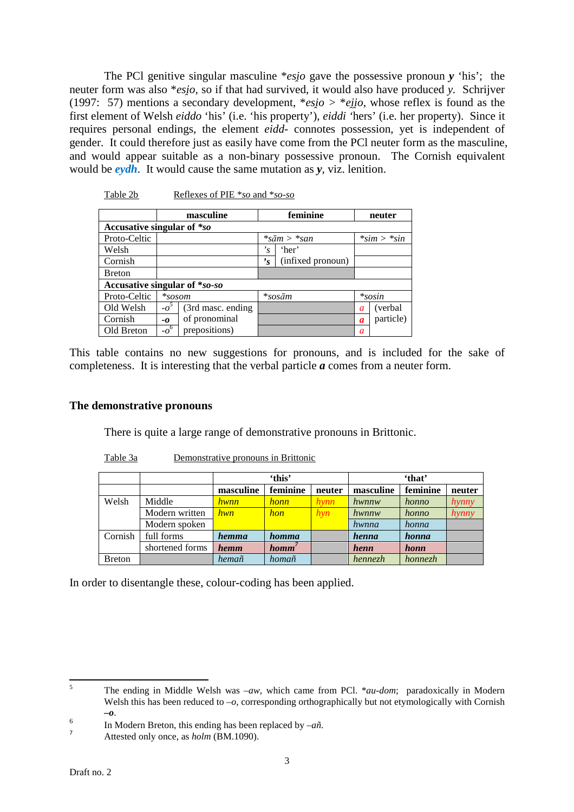The PCI genitive singular masculine \**esio* gave the possessive pronoun *y* 'his'; the neuter form was also \**esi̯o,* so if that had survived, it would also have produced *y.* Schrijver (1997: 57) mentions a secondary development, \**esio* > \**eiio*, whose reflex is found as the first element of Welsh *eiddo* 'his' (i.e. 'his property'), *eiddi '*hers' (i.e. her property). Since it requires personal endings, the element *eidd-* connotes possession, yet is independent of gender. It could therefore just as easily have come from the PCl neuter form as the masculine, and would appear suitable as a non-binary possessive pronoun. The Cornish equivalent would be *eydh*. It would cause the same mutation as *y*, viz. lenition.

|                               | masculine                    |                    |                | feminine                                      | neuter |              |
|-------------------------------|------------------------------|--------------------|----------------|-----------------------------------------------|--------|--------------|
| Accusative singular of *so    |                              |                    |                |                                               |        |              |
| Proto-Celtic                  |                              |                    |                | $*_{\mathcal{S}}\bar{a}m > *_{\mathcal{S}}an$ |        | $*sim>$ *sin |
| Welsh                         |                              |                    | $\cdot_{s}$    | 'her'                                         |        |              |
| Cornish                       |                              |                    | $\mathbf{r}_s$ | (infixed pronoun)                             |        |              |
| <b>Breton</b>                 |                              |                    |                |                                               |        |              |
| Accusative singular of *so-so |                              |                    |                |                                               |        |              |
| Proto-Celtic                  | $*so$                        |                    |                | $*$ sosām                                     |        | $*$ sosin    |
| Old Welsh                     | $-a^3$                       | (3rd masc. ending) |                |                                               | a      | (verbal)     |
| Cornish                       | $-0$                         | of pronominal      |                |                                               | a      | particle)    |
| Old Breton                    | $-\overline{o}$ <sup>6</sup> | prepositions)      |                |                                               | a      |              |

This table contains no new suggestions for pronouns, and is included for the sake of completeness. It is interesting that the verbal particle *a* comes from a neuter form.

## **The demonstrative pronouns**

There is quite a large range of demonstrative pronouns in Brittonic.

|--|

Table 2b Reflexes of PIE \**so* and \**so-so*

|                |                 | 'this'           |             |             | 'that'    |          |        |
|----------------|-----------------|------------------|-------------|-------------|-----------|----------|--------|
|                |                 | masculine        | feminine    | neuter      | masculine | feminine | neuter |
| Welsh          | Middle          | <i>hwnn</i>      | <i>honn</i> | <i>hynn</i> | hwnnw     | honno    | hynny  |
|                | Modern written  | hwn <sup>1</sup> | hon         | hyn         | hwnnw     | honno    | hynny  |
|                | Modern spoken   |                  |             |             | hwnna     | honna    |        |
| Cornish        | full forms      | <i>hemma</i>     | homma       |             | henna     | honna    |        |
|                | shortened forms | hemm             | $\bm{hom}'$ |             | henn      | honn     |        |
| <b>B</b> reton |                 | hemañ            | homañ       |             | hennezh   | honnezh  |        |

In order to disentangle these, colour-coding has been applied.

 $\overline{a}$ 

<sup>5</sup> The ending in Middle Welsh was *–aw*, which came from PCl. \**au-dom*; paradoxically in Modern Welsh this has been reduced to  $-\rho$ , corresponding orthographically but not etymologically with Cornish *–o*.

<sup>6</sup> In Modern Breton, this ending has been replaced by –*añ*.

<sup>7</sup> Attested only once, as *holm* (BM.1090).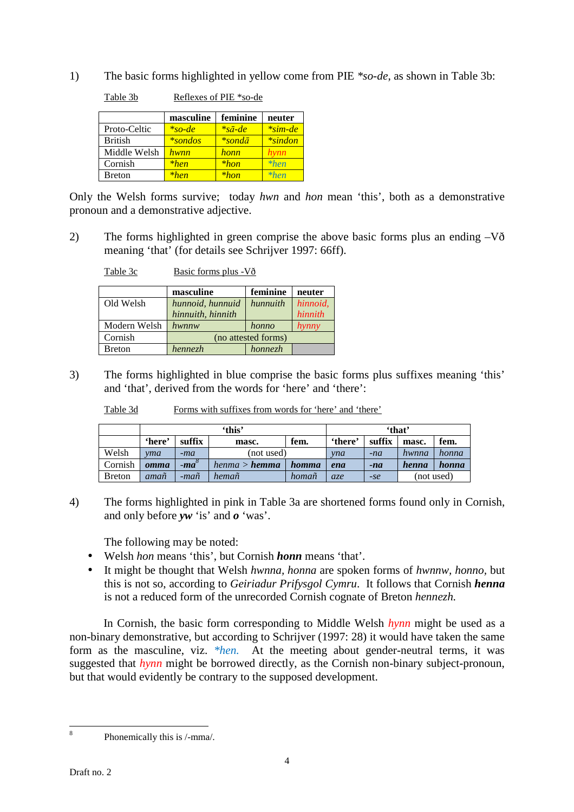1) The basic forms highlighted in yellow come from PIE *\*so-de*, as shown in Table 3b:

|                | masculine   | feminine          | neuter     |
|----------------|-------------|-------------------|------------|
| Proto-Celtic   | $*so-de$    | $*_{s\bar{a}-de}$ | $*$ sim-de |
| <b>British</b> | $*$ sondos  | *sondā            | $*$ sindon |
| Middle Welsh   | <u>hwnn</u> | honn              | hynn       |
| Cornish        | $*hen$      | $*hon$            | $*hen$     |
| <b>Breton</b>  | $*hen$      | $*hon$            | $*hen$     |

Table 3b Reflexes of PIE \*so-de

Only the Welsh forms survive; today *hwn* and *hon* mean 'this', both as a demonstrative pronoun and a demonstrative adjective.

2) The forms highlighted in green comprise the above basic forms plus an ending –Vð meaning 'that' (for details see Schrijver 1997: 66ff).

| Table 3c | Basic forms plus - Vð |
|----------|-----------------------|
|          |                       |

|               | masculine           | feminine       | neuter   |
|---------------|---------------------|----------------|----------|
| Old Welsh     | hunnoid, hunnuid    | hunnuith       | hinnoid, |
|               | hinnuith, hinnith   |                | hinnith  |
| Modern Welsh  | hwnnw               | honno          | hynny    |
| Cornish       | (no attested forms) |                |          |
| <b>Breton</b> | hennezh             | <i>honnezh</i> |          |

3) The forms highlighted in blue comprise the basic forms plus suffixes meaning 'this' and 'that', derived from the words for 'here' and 'there':

| Table 3d |  |  | Forms with suffixes from words for 'here' and 'there' |  |  |
|----------|--|--|-------------------------------------------------------|--|--|
|          |  |  |                                                       |  |  |

|         | 'this' |                |                      |       |         | 'that' |       |            |
|---------|--------|----------------|----------------------|-------|---------|--------|-------|------------|
|         | 'here' | suffix         | masc.                | fem.  | 'there' | suffix | masc. | fem.       |
| Welsh   | vma    | -ma            | (not used)           |       | vna     | $-na$  | hwnna | honna      |
| Cornish | omma   | $-ma^{\delta}$ | henma > <b>hemma</b> | homma | ena     | $-na$  | henna | honna      |
| Breton  | amañ   | -mañ           | hemañ                | homañ | $az$ e  | $-se$  |       | (not used) |

4) The forms highlighted in pink in Table 3a are shortened forms found only in Cornish, and only before *yw* 'is' and *o* 'was'.

The following may be noted:

- Welsh *hon* means 'this', but Cornish *honn* means 'that'.
- It might be thought that Welsh *hwnna, honna* are spoken forms of *hwnnw, honno,* but this is not so, according to *Geiriadur Prifysgol Cymru*. It follows that Cornish *henna* is not a reduced form of the unrecorded Cornish cognate of Breton *hennezh.*

In Cornish, the basic form corresponding to Middle Welsh *hynn* might be used as a non-binary demonstrative, but according to Schrijver (1997: 28) it would have taken the same form as the masculine, viz. *\*hen.* At the meeting about gender-neutral terms, it was suggested that *hynn* might be borrowed directly, as the Cornish non-binary subject-pronoun, but that would evidently be contrary to the supposed development.

l 8

Phonemically this is /-mma/.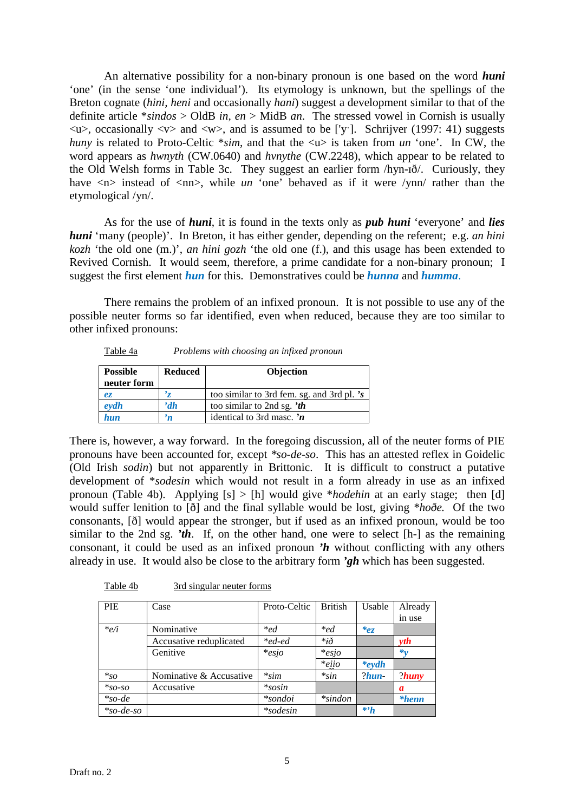An alternative possibility for a non-binary pronoun is one based on the word *huni* 'one' (in the sense 'one individual'). Its etymology is unknown, but the spellings of the Breton cognate (*hini, heni* and occasionally *hani*) suggest a development similar to that of the definite article \**sindos* > OldB *in, en* > MidB *an*. The stressed vowel in Cornish is usually  $\langle u \rangle$ , occasionally  $\langle v \rangle$  and  $\langle w \rangle$ , and is assumed to be ['y']. Schrijver (1997: 41) suggests *huny* is related to Proto-Celtic  $*sim$ , and that the  $\langle u \rangle$  is taken from *un* 'one'. In CW, the word appears as *hwnyth* (CW.0640) and *hvnythe* (CW.2248), which appear to be related to the Old Welsh forms in Table 3c. They suggest an earlier form /hyn-ɪð/. Curiously, they have  $\langle n \rangle$  instead of  $\langle n \rangle$ , while *un* 'one' behaved as if it were /ynn/ rather than the etymological /yn/.

 As for the use of *huni*, it is found in the texts only as *pub huni* 'everyone' and *lies huni* 'many (people)'. In Breton, it has either gender, depending on the referent; e.g. *an hini kozh* 'the old one (m.)', *an hini gozh* 'the old one (f.), and this usage has been extended to Revived Cornish. It would seem, therefore, a prime candidate for a non-binary pronoun; I suggest the first element *hun* for this. Demonstratives could be *hunna* and *humma*.

 There remains the problem of an infixed pronoun. It is not possible to use any of the possible neuter forms so far identified, even when reduced, because they are too similar to other infixed pronouns:

| Table 4a | Problems with choosing an infixed pronoun |  |  |
|----------|-------------------------------------------|--|--|
|          |                                           |  |  |

| <b>Possible</b><br>neuter form | <b>Reduced</b> | Objection                                  |
|--------------------------------|----------------|--------------------------------------------|
| ez.                            |                | too similar to 3rd fem. sg. and 3rd pl. 's |
| $\ell$ <i>eydh</i>             | 'dh            | too similar to 2nd sg. $'$ th              |
| hun                            | n              | identical to 3rd masc. $n$                 |

There is, however, a way forward. In the foregoing discussion, all of the neuter forms of PIE pronouns have been accounted for, except *\*so-de-so*. This has an attested reflex in Goidelic (Old Irish *sodin*) but not apparently in Brittonic. It is difficult to construct a putative development of \**sodesin* which would not result in a form already in use as an infixed pronoun (Table 4b). Applying [s] > [h] would give \**hodehin* at an early stage; then [d] would suffer lenition to [ð] and the final syllable would be lost, giving *\*hoðe.* Of the two consonants, [ð] would appear the stronger, but if used as an infixed pronoun, would be too similar to the 2nd sg. *'th*. If, on the other hand, one were to select [h-] as the remaining consonant, it could be used as an infixed pronoun *'h* without conflicting with any others already in use. It would also be close to the arbitrary form *'gh* which has been suggested.

| <b>PIE</b>  | Case                    | Proto-Celtic    | <b>British</b> | Usable           | Already         |
|-------------|-------------------------|-----------------|----------------|------------------|-----------------|
|             |                         |                 |                |                  | in use          |
| $*_e/i$     | Nominative              | $*_{ed}$        | $*_{ed}$       | ez               |                 |
|             | Accusative reduplicated | *ed-ed          | $*_{i\delta}$  |                  | vth             |
|             | Genitive                | $*$ esio        | $*$ esio       |                  | $*_{v}$         |
|             |                         |                 | $*$ ejjo       | $*$ eydh         |                 |
| $*_{{SO}}$  | Nominative & Accusative | $*sim$          | $*sin$         | $?$ hun          | $?$ <i>huny</i> |
| $*_{SO-SO}$ | Accusative              | $*$ sosin       |                |                  | a               |
| $*_{so-de}$ |                         | <i>*sondoi</i>  | $*$ sindon     |                  | $*henn$         |
| $*so-de-so$ |                         | <i>*sodesin</i> |                | $*$ <sup>h</sup> |                 |

Table 4b 3rd singular neuter forms